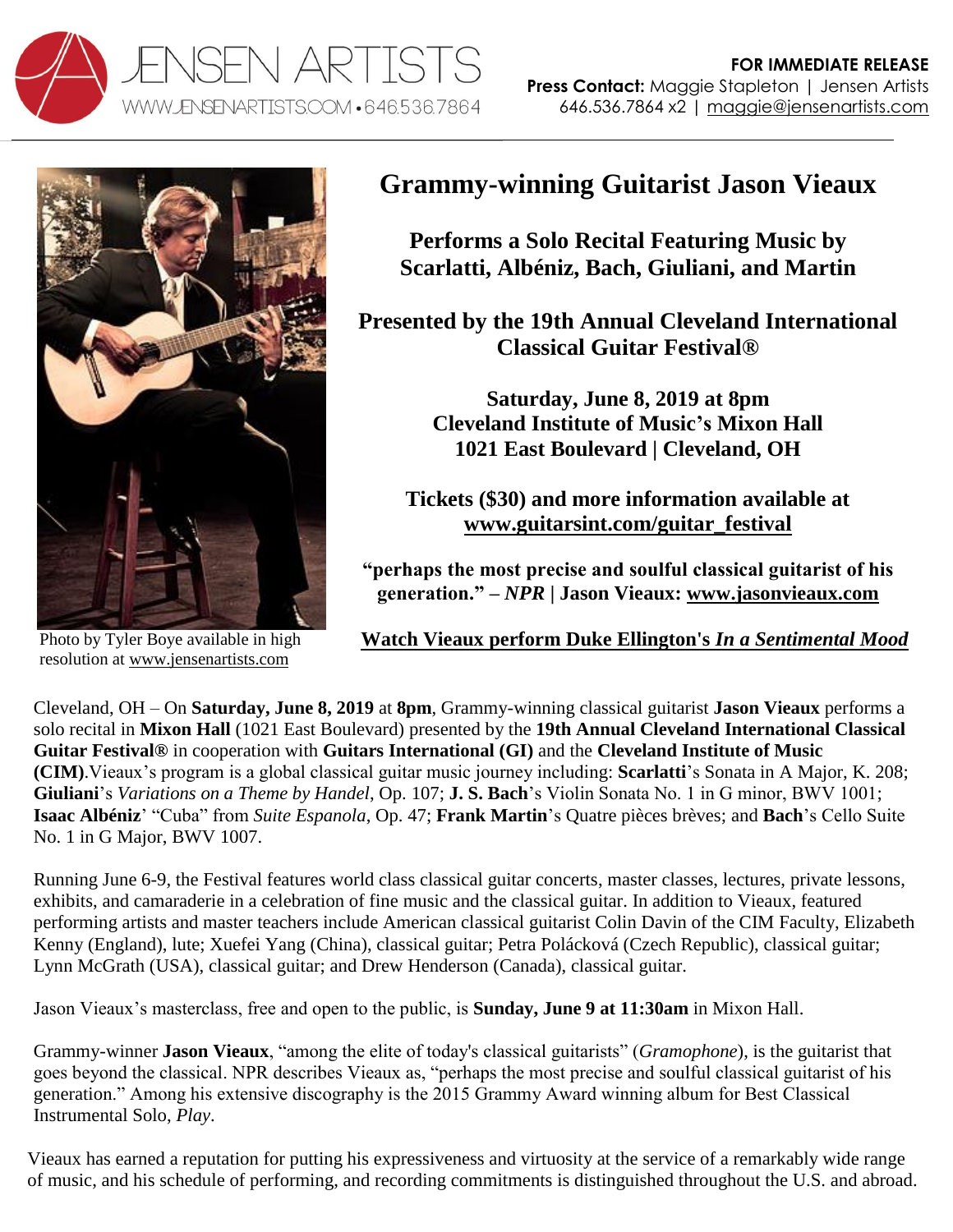



Photo by Tyler Boye available in high resolution at [www.jensenartists.com](http://www.jensenartists.com/)

## **Grammy-winning Guitarist Jason Vieaux**

**Performs a Solo Recital Featuring Music by Scarlatti, Albéniz, Bach, Giuliani, and Martin**

**Presented by the 19th Annual Cleveland International Classical Guitar Festival®**

> **Saturday, June 8, 2019 at 8pm Cleveland Institute of Music's Mixon Hall 1021 East Boulevard | Cleveland, OH**

**Tickets (\$30) and more information available at [www.guitarsint.com/guitar\\_festival](http://www.guitarsint.com/guitar_festival)**

**"perhaps the most precise and soulful classical guitarist of his generation." –** *NPR* **| Jason Vieaux: [www.jasonvieaux.com](http://www.jasonvieaux.com/)**

**[Watch Vieaux perform Duke Ellington's](http://www.youtube.com/watch?v=6Mod9vYk4IE)** *In a Sentimental Mood*

Cleveland, OH – On **Saturday, June 8, 2019** at **8pm**, Grammy-winning classical guitarist **Jason Vieaux** performs a solo recital in **Mixon Hall** (1021 East Boulevard) presented by the **19th Annual Cleveland International Classical Guitar Festival®** in cooperation with **Guitars International (GI)** and the **Cleveland Institute of Music (CIM)**.Vieaux's program is a global classical guitar music journey including: **Scarlatti**'s Sonata in A Major, K. 208; **Giuliani**'s *Variations on a Theme by Handel*, Op. 107; **J. S. Bach**'s Violin Sonata No. 1 in G minor, BWV 1001; **Isaac Albéniz**' "Cuba" from *Suite Espanola*, Op. 47; **Frank Martin**'s Quatre pièces brèves; and **Bach**'s Cello Suite No. 1 in G Major, BWV 1007.

Running June 6-9, the Festival features world class classical guitar concerts, master classes, lectures, private lessons, exhibits, and camaraderie in a celebration of fine music and the classical guitar. In addition to Vieaux, featured performing artists and master teachers include American classical guitarist Colin Davin of the CIM Faculty, Elizabeth Kenny (England), lute; Xuefei Yang (China), classical guitar; Petra Polácková (Czech Republic), classical guitar; Lynn McGrath (USA), classical guitar; and Drew Henderson (Canada), classical guitar.

Jason Vieaux's masterclass, free and open to the public, is **Sunday, June 9 at 11:30am** in Mixon Hall.

Grammy-winner **Jason Vieaux**, "among the elite of today's classical guitarists" (*Gramophone*), is the guitarist that goes beyond the classical. NPR describes Vieaux as, "perhaps the most precise and soulful classical guitarist of his generation." Among his extensive discography is the 2015 Grammy Award winning album for Best Classical Instrumental Solo, *Play*.

Vieaux has earned a reputation for putting his expressiveness and virtuosity at the service of a remarkably wide range of music, and his schedule of performing, and recording commitments is distinguished throughout the U.S. and abroad.